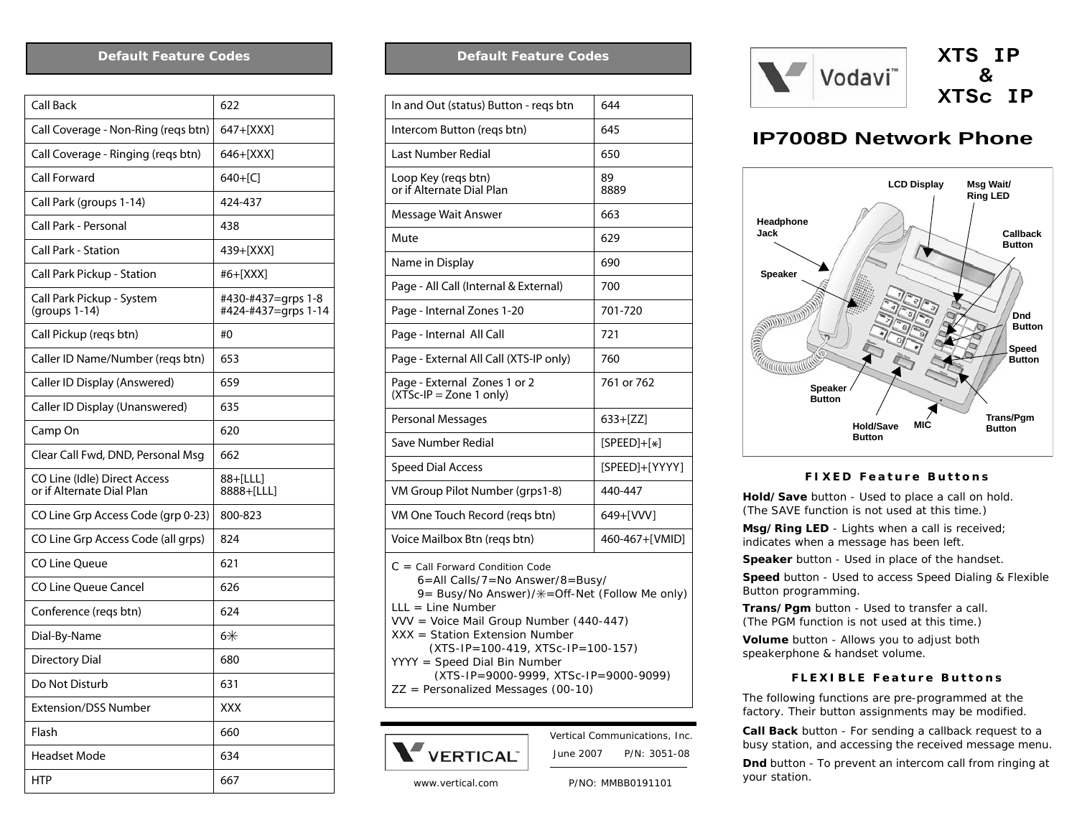**Default Feature Codes**

| <b>Call Back</b>                                          | 622                                       |
|-----------------------------------------------------------|-------------------------------------------|
| Call Coverage - Non-Ring (reqs btn)                       | 647+[XXX]                                 |
| Call Coverage - Ringing (regs btn)                        | 646+[XXX]                                 |
| <b>Call Forward</b>                                       | 640+[C]                                   |
| Call Park (groups 1-14)                                   | 424-437                                   |
| Call Park - Personal                                      | 438                                       |
| <b>Call Park - Station</b>                                | 439+[XXX]                                 |
| Call Park Pickup - Station                                | #6+[XXX]                                  |
| Call Park Pickup - System<br>(groups 1-14)                | #430-#437=grps 1-8<br>#424-#437=grps 1-14 |
| Call Pickup (reqs btn)                                    | #0                                        |
| Caller ID Name/Number (regs btn)                          | 653                                       |
| Caller ID Display (Answered)                              | 659                                       |
| Caller ID Display (Unanswered)                            | 635                                       |
| Camp On                                                   | 620                                       |
| Clear Call Fwd, DND, Personal Msg                         | 662                                       |
| CO Line (Idle) Direct Access<br>or if Alternate Dial Plan | 88+[LLL]<br>8888+[LLL]                    |
| CO Line Grp Access Code (grp 0-23)                        | 800-823                                   |
| CO Line Grp Access Code (all grps)                        | 824                                       |
| CO Line Oueue                                             | 621                                       |
| <b>CO Line Queue Cancel</b>                               | 626                                       |
| Conference (reqs btn)                                     | 624                                       |
| Dial-By-Name                                              | 6米                                        |
| Directory Dial                                            | 680                                       |
| Do Not Disturb                                            | 631                                       |
| <b>Extension/DSS Number</b>                               | XXX                                       |
| Flash                                                     | 660                                       |
| Headset Mode                                              | 634                                       |
| <b>HTP</b>                                                | 667                                       |

## **Default Feature Codes**

| In and Out (status) Button - regs btn                                                                                                                                                                                                                                                                                                                                                      | 644            |  |
|--------------------------------------------------------------------------------------------------------------------------------------------------------------------------------------------------------------------------------------------------------------------------------------------------------------------------------------------------------------------------------------------|----------------|--|
| Intercom Button (regs btn)                                                                                                                                                                                                                                                                                                                                                                 | 645            |  |
| Last Number Redial                                                                                                                                                                                                                                                                                                                                                                         | 650            |  |
| Loop Key (reqs btn)<br>or if Alternate Dial Plan                                                                                                                                                                                                                                                                                                                                           | 89<br>8889     |  |
| Message Wait Answer                                                                                                                                                                                                                                                                                                                                                                        | 663            |  |
| Mute                                                                                                                                                                                                                                                                                                                                                                                       | 629            |  |
| Name in Display                                                                                                                                                                                                                                                                                                                                                                            | 690            |  |
| Page - All Call (Internal & External)                                                                                                                                                                                                                                                                                                                                                      | 700            |  |
| Page - Internal Zones 1-20                                                                                                                                                                                                                                                                                                                                                                 | 701-720        |  |
| Page - Internal All Call                                                                                                                                                                                                                                                                                                                                                                   | 721            |  |
| Page - External All Call (XTS-IP only)                                                                                                                                                                                                                                                                                                                                                     | 760            |  |
| Page - External Zones 1 or 2<br>$(XTSC-IP = Zone 1 only)$                                                                                                                                                                                                                                                                                                                                  | 761 or 762     |  |
| <b>Personal Messages</b>                                                                                                                                                                                                                                                                                                                                                                   | $633 + [ZZ]$   |  |
| Save Number Redial                                                                                                                                                                                                                                                                                                                                                                         | $[SPEED]+[*]$  |  |
| <b>Speed Dial Access</b>                                                                                                                                                                                                                                                                                                                                                                   | [SPEED]+[YYYY] |  |
| VM Group Pilot Number (grps1-8)                                                                                                                                                                                                                                                                                                                                                            | 440-447        |  |
| VM One Touch Record (reqs btn)                                                                                                                                                                                                                                                                                                                                                             | 649+[VVV]      |  |
| Voice Mailbox Btn (reqs btn)                                                                                                                                                                                                                                                                                                                                                               | 460-467+[VMID] |  |
| $C =$ Call Forward Condition Code<br>6=All Calls/7=No Answer/8=Busy/<br>9= Busy/No Answer)/ $\text{#=Off-Net}$ (Follow Me only)<br>$LL = Line Number$<br>VVV = Voice Mail Group Number (440-447)<br>XXX = Station Extension Number<br>$(XTS-IP=100-419, XTSC-IP=100-157)$<br>YYYY = Speed Dial Bin Number<br>$(XTS-IP=9000-9999, XTSC-IP=9000-9099)$<br>ZZ = Personalized Messages (00-10) |                |  |
|                                                                                                                                                                                                                                                                                                                                                                                            |                |  |



 June 2007 P/N: 3051-08Vertical Communications, Inc.

www.vertical.com



## **IP7008D Network Phone**



## *FIXED Feature Buttons*

**Hold/Save** button - Used to place a call on hold. (*The SAVE function is not used at this time.*)

**Msg/Ring LED** - Lights when a call is received; indicates when a message has been left.

**Speaker** button - Used in place of the handset.

**Speed** button - Used to access Speed Dialing & Flexible Button programming.

**Trans/Pgm** button - Used to transfer a call. (*The PGM function is not used at this time.*)

**Volume** button - Allows you to adjust both speakerphone & handset volume.

## *FLEXIBLE Feature Buttons*

The following functions are *pre-programmed* at the factory. Their button assignments may be modified.

**Call Back** button - For sending a callback request to a busy station, and accessing the received message menu.

**Dnd** button - To prevent an intercom call from ringing at your station.